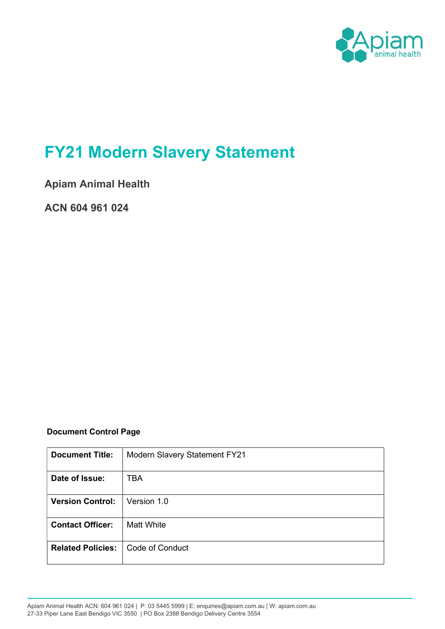

# FY21 Modern Slavery Statement

Apiam Animal Health

ACN 604 961 024

## Document Control Page

| <b>Document Title:</b>   | <b>Modern Slavery Statement FY21</b> |
|--------------------------|--------------------------------------|
| Date of Issue:           | TBA                                  |
| <b>Version Control:</b>  | Version 1.0                          |
| <b>Contact Officer:</b>  | <b>Matt White</b>                    |
| <b>Related Policies:</b> | Code of Conduct                      |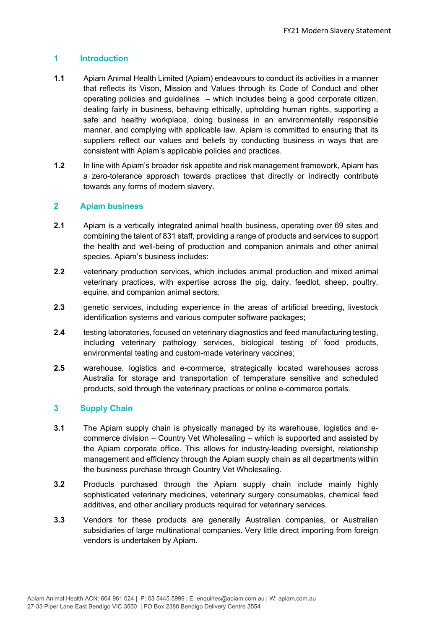### 1 Introduction

- 1.1 Apiam Animal Health Limited (Apiam) endeavours to conduct its activities in a manner that reflects its Vison, Mission and Values through its Code of Conduct and other operating policies and guidelines – which includes being a good corporate citizen, dealing fairly in business, behaving ethically, upholding human rights, supporting a safe and healthy workplace, doing business in an environmentally responsible manner, and complying with applicable law. Apiam is committed to ensuring that its suppliers reflect our values and beliefs by conducting business in ways that are consistent with Apiam's applicable policies and practices.
- 1.2 In line with Apiam's broader risk appetite and risk management framework, Apiam has a zero-tolerance approach towards practices that directly or indirectly contribute towards any forms of modern slavery.

### 2 Apiam business

- 2.1 Apiam is a vertically integrated animal health business, operating over 69 sites and combining the talent of 831 staff, providing a range of products and services to support the health and well-being of production and companion animals and other animal species. Apiam's business includes:
- 2.2 veterinary production services, which includes animal production and mixed animal veterinary practices, with expertise across the pig, dairy, feedlot, sheep, poultry, equine, and companion animal sectors;
- 2.3 genetic services, including experience in the areas of artificial breeding, livestock identification systems and various computer software packages;
- 2.4 testing laboratories, focused on veterinary diagnostics and feed manufacturing testing, including veterinary pathology services, biological testing of food products, environmental testing and custom-made veterinary vaccines;
- 2.5 warehouse, logistics and e-commerce, strategically located warehouses across Australia for storage and transportation of temperature sensitive and scheduled products, sold through the veterinary practices or online e-commerce portals.

### 3 Supply Chain

- 3.1 The Apiam supply chain is physically managed by its warehouse, logistics and ecommerce division – Country Vet Wholesaling – which is supported and assisted by the Apiam corporate office. This allows for industry-leading oversight, relationship management and efficiency through the Apiam supply chain as all departments within the business purchase through Country Vet Wholesaling.
- 3.2 Products purchased through the Apiam supply chain include mainly highly sophisticated veterinary medicines, veterinary surgery consumables, chemical feed additives, and other ancillary products required for veterinary services.
- 3.3 Vendors for these products are generally Australian companies, or Australian subsidiaries of large multinational companies. Very little direct importing from foreign vendors is undertaken by Apiam.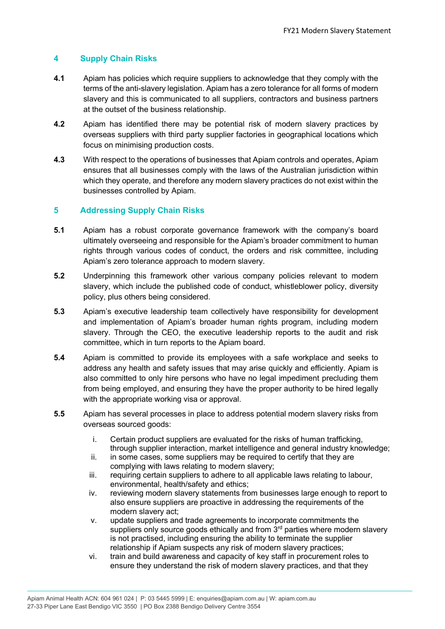### 4 Supply Chain Risks

- 4.1 Apiam has policies which require suppliers to acknowledge that they comply with the terms of the anti-slavery legislation. Apiam has a zero tolerance for all forms of modern slavery and this is communicated to all suppliers, contractors and business partners at the outset of the business relationship.
- 4.2 Apiam has identified there may be potential risk of modern slavery practices by overseas suppliers with third party supplier factories in geographical locations which focus on minimising production costs.
- 4.3 With respect to the operations of businesses that Apiam controls and operates, Apiam ensures that all businesses comply with the laws of the Australian jurisdiction within which they operate, and therefore any modern slavery practices do not exist within the businesses controlled by Apiam.

### 5 Addressing Supply Chain Risks

- 5.1 Apiam has a robust corporate governance framework with the company's board ultimately overseeing and responsible for the Apiam's broader commitment to human rights through various codes of conduct, the orders and risk committee, including Apiam's zero tolerance approach to modern slavery.
- 5.2 Underpinning this framework other various company policies relevant to modern slavery, which include the published code of conduct, whistleblower policy, diversity policy, plus others being considered.
- 5.3 Apiam's executive leadership team collectively have responsibility for development and implementation of Apiam's broader human rights program, including modern slavery. Through the CEO, the executive leadership reports to the audit and risk committee, which in turn reports to the Apiam board.
- 5.4 Apiam is committed to provide its employees with a safe workplace and seeks to address any health and safety issues that may arise quickly and efficiently. Apiam is also committed to only hire persons who have no legal impediment precluding them from being employed, and ensuring they have the proper authority to be hired legally with the appropriate working visa or approval.
- 5.5 Apiam has several processes in place to address potential modern slavery risks from overseas sourced goods:
	- i. Certain product suppliers are evaluated for the risks of human trafficking, through supplier interaction, market intelligence and general industry knowledge;
	- ii. in some cases, some suppliers may be required to certify that they are complying with laws relating to modern slavery;
	- iii. requiring certain suppliers to adhere to all applicable laws relating to labour, environmental, health/safety and ethics;
	- iv. reviewing modern slavery statements from businesses large enough to report to also ensure suppliers are proactive in addressing the requirements of the modern slavery act;
	- v. update suppliers and trade agreements to incorporate commitments the suppliers only source goods ethically and from 3<sup>rd</sup> parties where modern slavery is not practised, including ensuring the ability to terminate the supplier relationship if Apiam suspects any risk of modern slavery practices;
	- vi. train and build awareness and capacity of key staff in procurement roles to ensure they understand the risk of modern slavery practices, and that they